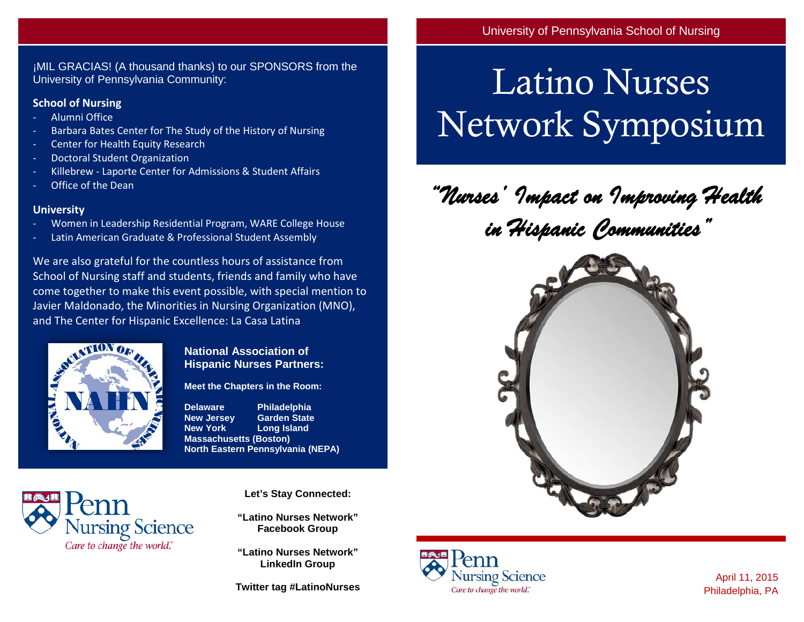¡MIL GRACIAS! (A thousand thanks) to our SPONSORS from the University of Pennsylvania Community:

### **School of Nursing**

- Alumni Office
- Barbara Bates Center for The Study of the History of Nursing
- Center for Health Equity Research
- Doctoral Student Organization
- Killebrew Laporte Center for Admissions & Student Affairs
- Office of the Dean

#### **University**

- Women in Leadership Residential Program, WARE College House
- Latin American Graduate & Professional Student Assembly

We are also grateful for the countless hours of assistance from School of Nursing staff and students, friends and family who have come together to make this event possible, with special mention to Javier Maldonado, the Minorities in Nursing Organization (MNO), and The Center for Hispanic Excellence: La Casa Latina



**National Association of Hispanic Nurses Partners:**

**Meet the Chapters in the Room:**

**Delaware Philadelphia New Jersey Garden State Long Island Massachusetts (Boston) North Eastern Pennsylvania (NEPA)**



**Let's Stay Connected:**

**"Latino Nurses Network" Facebook Group**

**"Latino Nurses Network" LinkedIn Group**

**Twitter tag #LatinoNurses**

# Latino Nurses Network Symposium

*"Nurses' Impact on Improving Health in Hispanic Communities"* 





April 11, 2015 Philadelphia, PA